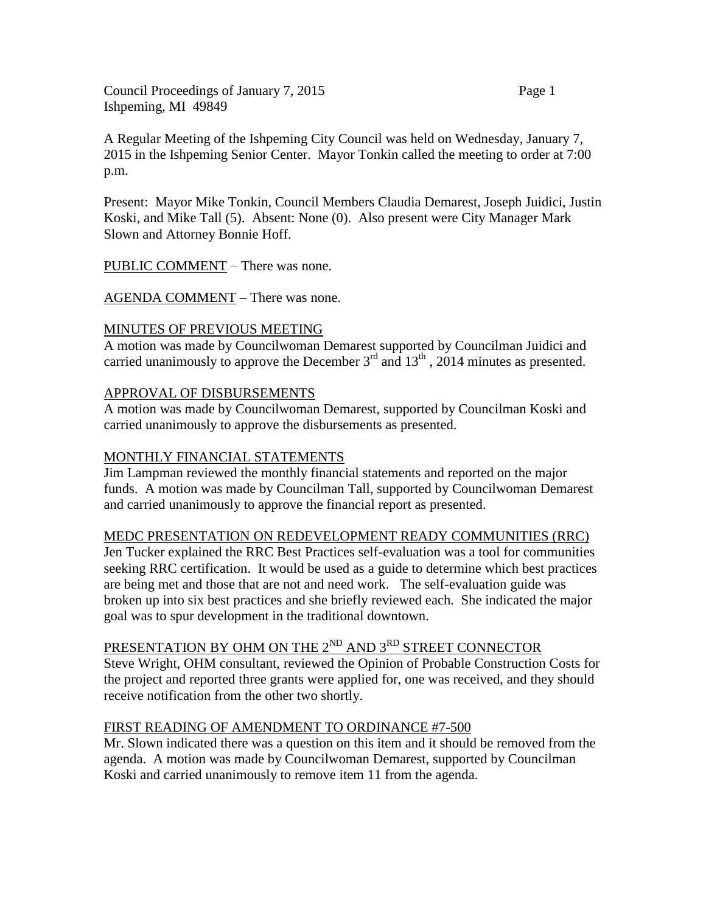Council Proceedings of January 7, 2015 Page 1 Ishpeming, MI 49849

A Regular Meeting of the Ishpeming City Council was held on Wednesday, January 7, 2015 in the Ishpeming Senior Center. Mayor Tonkin called the meeting to order at 7:00 p.m.

Present: Mayor Mike Tonkin, Council Members Claudia Demarest, Joseph Juidici, Justin Koski, and Mike Tall (5). Absent: None (0). Also present were City Manager Mark Slown and Attorney Bonnie Hoff.

PUBLIC COMMENT – There was none.

AGENDA COMMENT – There was none.

#### MINUTES OF PREVIOUS MEETING

A motion was made by Councilwoman Demarest supported by Councilman Juidici and carried unanimously to approve the December  $3<sup>rd</sup>$  and  $13<sup>th</sup>$ , 2014 minutes as presented.

#### APPROVAL OF DISBURSEMENTS

A motion was made by Councilwoman Demarest, supported by Councilman Koski and carried unanimously to approve the disbursements as presented.

#### MONTHLY FINANCIAL STATEMENTS

Jim Lampman reviewed the monthly financial statements and reported on the major funds. A motion was made by Councilman Tall, supported by Councilwoman Demarest and carried unanimously to approve the financial report as presented.

#### MEDC PRESENTATION ON REDEVELOPMENT READY COMMUNITIES (RRC)

Jen Tucker explained the RRC Best Practices self-evaluation was a tool for communities seeking RRC certification. It would be used as a guide to determine which best practices are being met and those that are not and need work. The self-evaluation guide was broken up into six best practices and she briefly reviewed each. She indicated the major goal was to spur development in the traditional downtown.

# PRESENTATION BY OHM ON THE 2<sup>ND</sup> AND 3<sup>RD</sup> STREET CONNECTOR

Steve Wright, OHM consultant, reviewed the Opinion of Probable Construction Costs for the project and reported three grants were applied for, one was received, and they should receive notification from the other two shortly.

#### FIRST READING OF AMENDMENT TO ORDINANCE #7-500

Mr. Slown indicated there was a question on this item and it should be removed from the agenda. A motion was made by Councilwoman Demarest, supported by Councilman Koski and carried unanimously to remove item 11 from the agenda.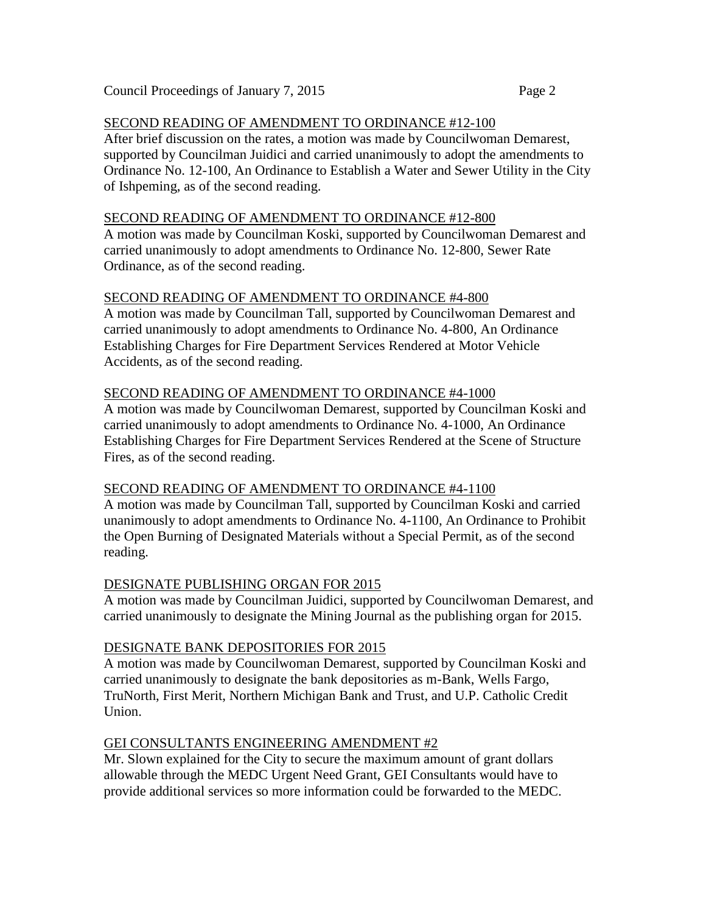## SECOND READING OF AMENDMENT TO ORDINANCE #12-100

After brief discussion on the rates, a motion was made by Councilwoman Demarest, supported by Councilman Juidici and carried unanimously to adopt the amendments to Ordinance No. 12-100, An Ordinance to Establish a Water and Sewer Utility in the City of Ishpeming, as of the second reading.

#### SECOND READING OF AMENDMENT TO ORDINANCE #12-800

A motion was made by Councilman Koski, supported by Councilwoman Demarest and carried unanimously to adopt amendments to Ordinance No. 12-800, Sewer Rate Ordinance, as of the second reading.

## SECOND READING OF AMENDMENT TO ORDINANCE #4-800

A motion was made by Councilman Tall, supported by Councilwoman Demarest and carried unanimously to adopt amendments to Ordinance No. 4-800, An Ordinance Establishing Charges for Fire Department Services Rendered at Motor Vehicle Accidents, as of the second reading.

## SECOND READING OF AMENDMENT TO ORDINANCE #4-1000

A motion was made by Councilwoman Demarest, supported by Councilman Koski and carried unanimously to adopt amendments to Ordinance No. 4-1000, An Ordinance Establishing Charges for Fire Department Services Rendered at the Scene of Structure Fires, as of the second reading.

## SECOND READING OF AMENDMENT TO ORDINANCE #4-1100

A motion was made by Councilman Tall, supported by Councilman Koski and carried unanimously to adopt amendments to Ordinance No. 4-1100, An Ordinance to Prohibit the Open Burning of Designated Materials without a Special Permit, as of the second reading.

## DESIGNATE PUBLISHING ORGAN FOR 2015

A motion was made by Councilman Juidici, supported by Councilwoman Demarest, and carried unanimously to designate the Mining Journal as the publishing organ for 2015.

## DESIGNATE BANK DEPOSITORIES FOR 2015

A motion was made by Councilwoman Demarest, supported by Councilman Koski and carried unanimously to designate the bank depositories as m-Bank, Wells Fargo, TruNorth, First Merit, Northern Michigan Bank and Trust, and U.P. Catholic Credit Union.

## GEI CONSULTANTS ENGINEERING AMENDMENT #2

Mr. Slown explained for the City to secure the maximum amount of grant dollars allowable through the MEDC Urgent Need Grant, GEI Consultants would have to provide additional services so more information could be forwarded to the MEDC.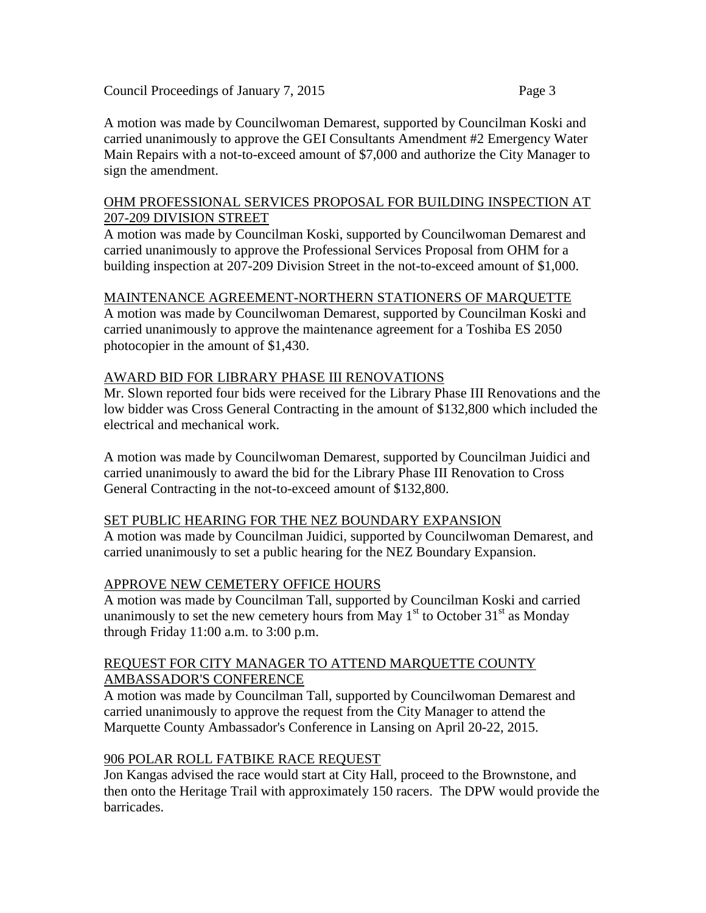A motion was made by Councilwoman Demarest, supported by Councilman Koski and carried unanimously to approve the GEI Consultants Amendment #2 Emergency Water Main Repairs with a not-to-exceed amount of \$7,000 and authorize the City Manager to sign the amendment.

#### OHM PROFESSIONAL SERVICES PROPOSAL FOR BUILDING INSPECTION AT 207-209 DIVISION STREET

A motion was made by Councilman Koski, supported by Councilwoman Demarest and carried unanimously to approve the Professional Services Proposal from OHM for a building inspection at 207-209 Division Street in the not-to-exceed amount of \$1,000.

# MAINTENANCE AGREEMENT-NORTHERN STATIONERS OF MARQUETTE

A motion was made by Councilwoman Demarest, supported by Councilman Koski and carried unanimously to approve the maintenance agreement for a Toshiba ES 2050 photocopier in the amount of \$1,430.

# AWARD BID FOR LIBRARY PHASE III RENOVATIONS

Mr. Slown reported four bids were received for the Library Phase III Renovations and the low bidder was Cross General Contracting in the amount of \$132,800 which included the electrical and mechanical work.

A motion was made by Councilwoman Demarest, supported by Councilman Juidici and carried unanimously to award the bid for the Library Phase III Renovation to Cross General Contracting in the not-to-exceed amount of \$132,800.

## SET PUBLIC HEARING FOR THE NEZ BOUNDARY EXPANSION

A motion was made by Councilman Juidici, supported by Councilwoman Demarest, and carried unanimously to set a public hearing for the NEZ Boundary Expansion.

# APPROVE NEW CEMETERY OFFICE HOURS

A motion was made by Councilman Tall, supported by Councilman Koski and carried unanimously to set the new cemetery hours from May  $1<sup>st</sup>$  to October  $31<sup>st</sup>$  as Monday through Friday 11:00 a.m. to 3:00 p.m.

#### REQUEST FOR CITY MANAGER TO ATTEND MARQUETTE COUNTY AMBASSADOR'S CONFERENCE

A motion was made by Councilman Tall, supported by Councilwoman Demarest and carried unanimously to approve the request from the City Manager to attend the Marquette County Ambassador's Conference in Lansing on April 20-22, 2015.

## 906 POLAR ROLL FATBIKE RACE REQUEST

Jon Kangas advised the race would start at City Hall, proceed to the Brownstone, and then onto the Heritage Trail with approximately 150 racers. The DPW would provide the barricades.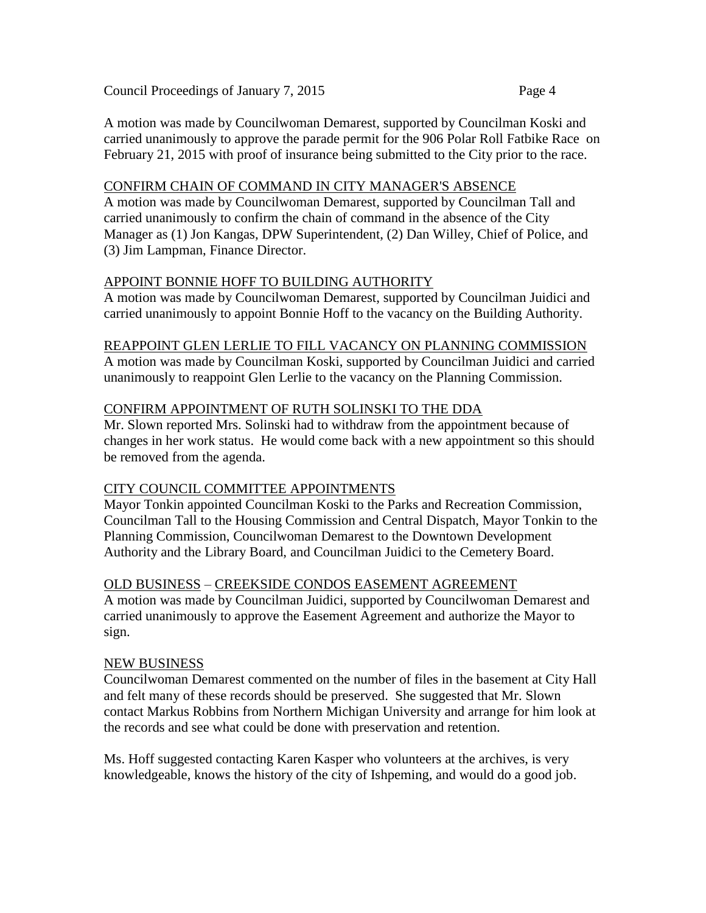A motion was made by Councilwoman Demarest, supported by Councilman Koski and carried unanimously to approve the parade permit for the 906 Polar Roll Fatbike Race on February 21, 2015 with proof of insurance being submitted to the City prior to the race.

#### CONFIRM CHAIN OF COMMAND IN CITY MANAGER'S ABSENCE

A motion was made by Councilwoman Demarest, supported by Councilman Tall and carried unanimously to confirm the chain of command in the absence of the City Manager as (1) Jon Kangas, DPW Superintendent, (2) Dan Willey, Chief of Police, and (3) Jim Lampman, Finance Director.

## APPOINT BONNIE HOFF TO BUILDING AUTHORITY

A motion was made by Councilwoman Demarest, supported by Councilman Juidici and carried unanimously to appoint Bonnie Hoff to the vacancy on the Building Authority.

#### REAPPOINT GLEN LERLIE TO FILL VACANCY ON PLANNING COMMISSION

A motion was made by Councilman Koski, supported by Councilman Juidici and carried unanimously to reappoint Glen Lerlie to the vacancy on the Planning Commission.

## CONFIRM APPOINTMENT OF RUTH SOLINSKI TO THE DDA

Mr. Slown reported Mrs. Solinski had to withdraw from the appointment because of changes in her work status. He would come back with a new appointment so this should be removed from the agenda.

## CITY COUNCIL COMMITTEE APPOINTMENTS

Mayor Tonkin appointed Councilman Koski to the Parks and Recreation Commission, Councilman Tall to the Housing Commission and Central Dispatch, Mayor Tonkin to the Planning Commission, Councilwoman Demarest to the Downtown Development Authority and the Library Board, and Councilman Juidici to the Cemetery Board.

## OLD BUSINESS – CREEKSIDE CONDOS EASEMENT AGREEMENT

A motion was made by Councilman Juidici, supported by Councilwoman Demarest and carried unanimously to approve the Easement Agreement and authorize the Mayor to sign.

## NEW BUSINESS

Councilwoman Demarest commented on the number of files in the basement at City Hall and felt many of these records should be preserved. She suggested that Mr. Slown contact Markus Robbins from Northern Michigan University and arrange for him look at the records and see what could be done with preservation and retention.

Ms. Hoff suggested contacting Karen Kasper who volunteers at the archives, is very knowledgeable, knows the history of the city of Ishpeming, and would do a good job.